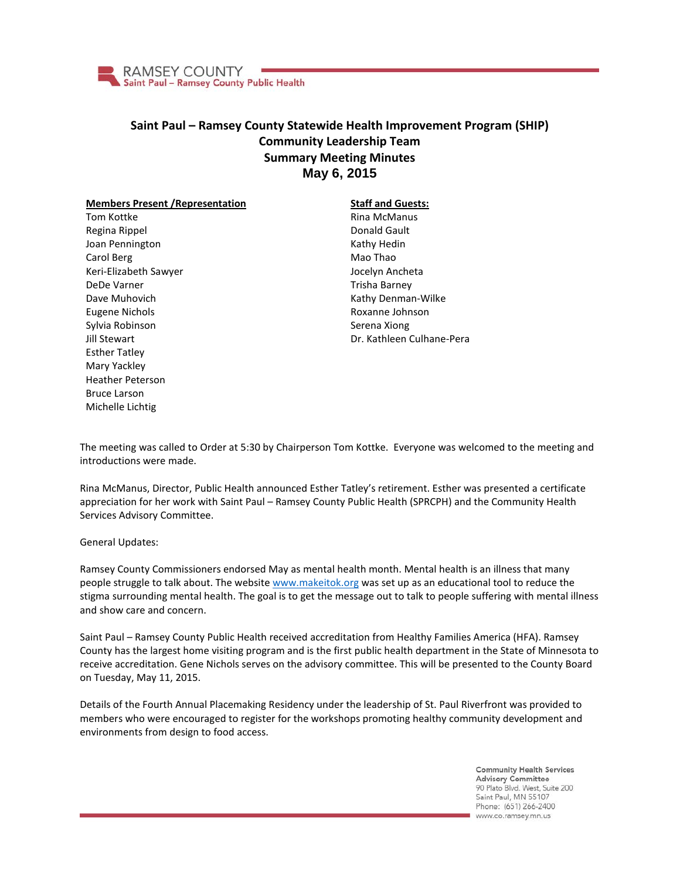

## **Saint Paul – Ramsey County Statewide Health Improvement Program (SHIP) Community Leadership Team Summary Meeting Minutes May 6, 2015**

## **Members Present /Representation**

Tom Kottke Regina Rippel Joan Pennington Carol Berg Keri-Elizabeth Sawyer DeDe Varner Dave Muhovich Eugene Nichols Sylvia Robinson Jill Stewart Esther Tatley Mary Yackley Heather Peterson Bruce Larson Michelle Lichtig

## **Staff and Guests:** Rina McManus Donald Gault Kathy Hedin Mao Thao Jocelyn Ancheta Trisha Barney Kathy Denman-Wilke Roxanne Johnson Serena Xiong Dr. Kathleen Culhane-Pera

The meeting was called to Order at 5:30 by Chairperson Tom Kottke. Everyone was welcomed to the meeting and introductions were made.

Rina McManus, Director, Public Health announced Esther Tatley's retirement. Esther was presented a certificate appreciation for her work with Saint Paul – Ramsey County Public Health (SPRCPH) and the Community Health Services Advisory Committee.

General Updates:

Ramsey County Commissioners endorsed May as mental health month. Mental health is an illness that many people struggle to talk about. The websit[e www.makeitok.org](http://www.makeitok.org/) was set up as an educational tool to reduce the stigma surrounding mental health. The goal is to get the message out to talk to people suffering with mental illness and show care and concern.

Saint Paul – Ramsey County Public Health received accreditation from Healthy Families America (HFA). Ramsey County has the largest home visiting program and is the first public health department in the State of Minnesota to receive accreditation. Gene Nichols serves on the advisory committee. This will be presented to the County Board on Tuesday, May 11, 2015.

Details of the Fourth Annual Placemaking Residency under the leadership of St. Paul Riverfront was provided to members who were encouraged to register for the workshops promoting healthy community development and environments from design to food access.

> **Community Health Services Advisory Committee** 90 Plato Blvd. West, Suite 200 Saint Paul, MN 55107 Phone: (651) 266-2400 www.co.ramsey.mn.us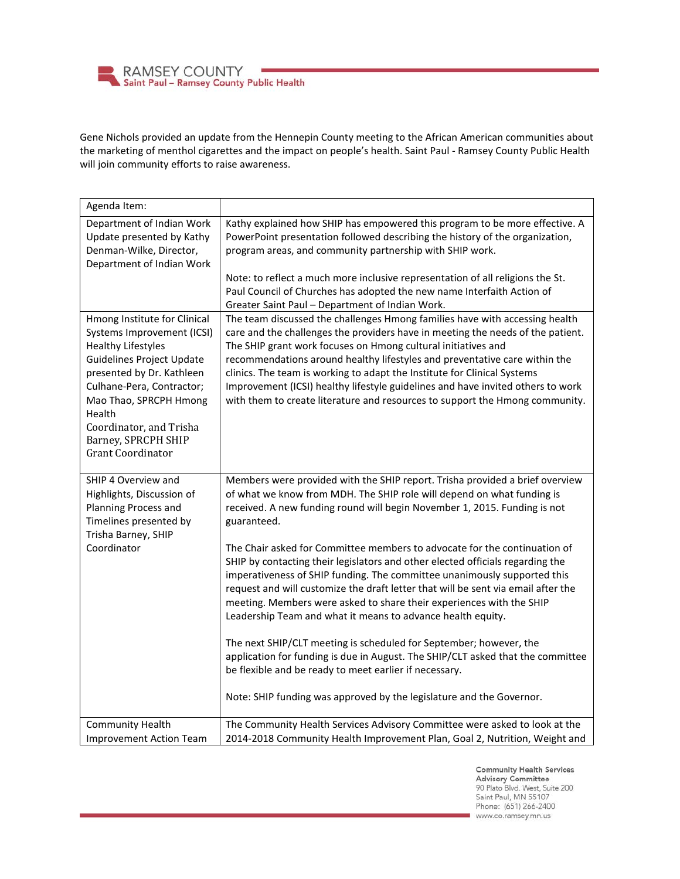**RAMSEY COUNTY** Saint Paul - Ramsey County Public Health

Gene Nichols provided an update from the Hennepin County meeting to the African American communities about the marketing of menthol cigarettes and the impact on people's health. Saint Paul - Ramsey County Public Health will join community efforts to raise awareness.

| Agenda Item:                                                                                                                                                                                                                                                                                            |                                                                                                                                                                                                                                                                                                                                                                                                                                                                                                                                                                                                                                                                                                                                                                                                                                                                                                                                                                                                                      |
|---------------------------------------------------------------------------------------------------------------------------------------------------------------------------------------------------------------------------------------------------------------------------------------------------------|----------------------------------------------------------------------------------------------------------------------------------------------------------------------------------------------------------------------------------------------------------------------------------------------------------------------------------------------------------------------------------------------------------------------------------------------------------------------------------------------------------------------------------------------------------------------------------------------------------------------------------------------------------------------------------------------------------------------------------------------------------------------------------------------------------------------------------------------------------------------------------------------------------------------------------------------------------------------------------------------------------------------|
| Department of Indian Work<br>Update presented by Kathy<br>Denman-Wilke, Director,<br>Department of Indian Work                                                                                                                                                                                          | Kathy explained how SHIP has empowered this program to be more effective. A<br>PowerPoint presentation followed describing the history of the organization,<br>program areas, and community partnership with SHIP work.<br>Note: to reflect a much more inclusive representation of all religions the St.<br>Paul Council of Churches has adopted the new name Interfaith Action of<br>Greater Saint Paul - Department of Indian Work.                                                                                                                                                                                                                                                                                                                                                                                                                                                                                                                                                                               |
| Hmong Institute for Clinical<br>Systems Improvement (ICSI)<br><b>Healthy Lifestyles</b><br><b>Guidelines Project Update</b><br>presented by Dr. Kathleen<br>Culhane-Pera, Contractor;<br>Mao Thao, SPRCPH Hmong<br>Health<br>Coordinator, and Trisha<br>Barney, SPRCPH SHIP<br><b>Grant Coordinator</b> | The team discussed the challenges Hmong families have with accessing health<br>care and the challenges the providers have in meeting the needs of the patient.<br>The SHIP grant work focuses on Hmong cultural initiatives and<br>recommendations around healthy lifestyles and preventative care within the<br>clinics. The team is working to adapt the Institute for Clinical Systems<br>Improvement (ICSI) healthy lifestyle guidelines and have invited others to work<br>with them to create literature and resources to support the Hmong community.                                                                                                                                                                                                                                                                                                                                                                                                                                                         |
| SHIP 4 Overview and<br>Highlights, Discussion of<br>Planning Process and<br>Timelines presented by<br>Trisha Barney, SHIP<br>Coordinator                                                                                                                                                                | Members were provided with the SHIP report. Trisha provided a brief overview<br>of what we know from MDH. The SHIP role will depend on what funding is<br>received. A new funding round will begin November 1, 2015. Funding is not<br>guaranteed.<br>The Chair asked for Committee members to advocate for the continuation of<br>SHIP by contacting their legislators and other elected officials regarding the<br>imperativeness of SHIP funding. The committee unanimously supported this<br>request and will customize the draft letter that will be sent via email after the<br>meeting. Members were asked to share their experiences with the SHIP<br>Leadership Team and what it means to advance health equity.<br>The next SHIP/CLT meeting is scheduled for September; however, the<br>application for funding is due in August. The SHIP/CLT asked that the committee<br>be flexible and be ready to meet earlier if necessary.<br>Note: SHIP funding was approved by the legislature and the Governor. |
| <b>Community Health</b><br><b>Improvement Action Team</b>                                                                                                                                                                                                                                               | The Community Health Services Advisory Committee were asked to look at the<br>2014-2018 Community Health Improvement Plan, Goal 2, Nutrition, Weight and                                                                                                                                                                                                                                                                                                                                                                                                                                                                                                                                                                                                                                                                                                                                                                                                                                                             |

**Community Health Services Advisory Committee** 90 Plato Blvd. West, Suite 200 Saint Paul, MN 55107 Phone: (651) 266-2400 www.co.ramsey.mn.us